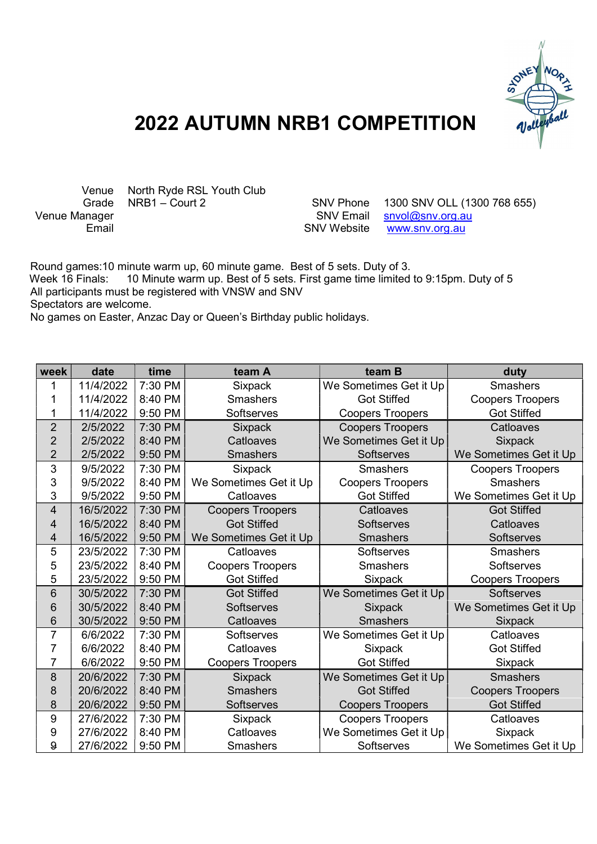

## 2022 AUTUMN NRB1 COMPETITION

Venue North Ryde RSL Youth Club<br>Grade NRB1 - Court 2

Grade NRB1 – Court 2 SNV Phone 1300 SNV OLL (1300 768 655)<br>Venue Manager SNV Email snyol@sny.org.au  $s$ nvol@snv.org.au Email **Email** SNV Website www.snv.org.au

 Round games:10 minute warm up, 60 minute game. Best of 5 sets. Duty of 3. Week 16 Finals: 10 Minute warm up. Best of 5 sets. First game time limited to 9:15pm. Duty of 5 All participants must be registered with VNSW and SNV Spectators are welcome. No games on Easter, Anzac Day or Queen's Birthday public holidays.

| week             | date      | time    | team A                  | team B                  | duty                    |
|------------------|-----------|---------|-------------------------|-------------------------|-------------------------|
| 1                | 11/4/2022 | 7:30 PM | <b>Sixpack</b>          | We Sometimes Get it Up  | <b>Smashers</b>         |
| 1                | 11/4/2022 | 8:40 PM | <b>Smashers</b>         | <b>Got Stiffed</b>      | <b>Coopers Troopers</b> |
| 1                | 11/4/2022 | 9:50 PM | Softserves              | <b>Coopers Troopers</b> | <b>Got Stiffed</b>      |
| $\overline{2}$   | 2/5/2022  | 7:30 PM | <b>Sixpack</b>          | <b>Coopers Troopers</b> | Catloaves               |
| $\overline{2}$   | 2/5/2022  | 8:40 PM | Catloaves               | We Sometimes Get it Up  | <b>Sixpack</b>          |
| $\overline{2}$   | 2/5/2022  | 9:50 PM | <b>Smashers</b>         | <b>Softserves</b>       | We Sometimes Get it Up  |
| 3                | 9/5/2022  | 7:30 PM | <b>Sixpack</b>          | <b>Smashers</b>         | <b>Coopers Troopers</b> |
| 3                | 9/5/2022  | 8:40 PM | We Sometimes Get it Up  | <b>Coopers Troopers</b> | <b>Smashers</b>         |
| 3                | 9/5/2022  | 9:50 PM | Catloaves               | <b>Got Stiffed</b>      | We Sometimes Get it Up  |
| 4                | 16/5/2022 | 7:30 PM | <b>Coopers Troopers</b> | Catloaves               | <b>Got Stiffed</b>      |
| 4                | 16/5/2022 | 8:40 PM | <b>Got Stiffed</b>      | <b>Softserves</b>       | Catloaves               |
| 4                | 16/5/2022 | 9:50 PM | We Sometimes Get it Up  | <b>Smashers</b>         | Softserves              |
| 5                | 23/5/2022 | 7:30 PM | Catloaves               | Softserves              | <b>Smashers</b>         |
| 5                | 23/5/2022 | 8:40 PM | <b>Coopers Troopers</b> | <b>Smashers</b>         | Softserves              |
| 5                | 23/5/2022 | 9:50 PM | <b>Got Stiffed</b>      | Sixpack                 | <b>Coopers Troopers</b> |
| 6                | 30/5/2022 | 7:30 PM | <b>Got Stiffed</b>      | We Sometimes Get it Up  | Softserves              |
| 6                | 30/5/2022 | 8:40 PM | Softserves              | <b>Sixpack</b>          | We Sometimes Get it Up  |
| 6                | 30/5/2022 | 9:50 PM | Catloaves               | <b>Smashers</b>         | <b>Sixpack</b>          |
| $\overline{7}$   | 6/6/2022  | 7:30 PM | Softserves              | We Sometimes Get it Up  | Catloaves               |
| $\overline{7}$   | 6/6/2022  | 8:40 PM | Catloaves               | Sixpack                 | <b>Got Stiffed</b>      |
| 7                | 6/6/2022  | 9:50 PM | <b>Coopers Troopers</b> | <b>Got Stiffed</b>      | Sixpack                 |
| 8                | 20/6/2022 | 7:30 PM | <b>Sixpack</b>          | We Sometimes Get it Up  | <b>Smashers</b>         |
| 8                | 20/6/2022 | 8:40 PM | <b>Smashers</b>         | <b>Got Stiffed</b>      | <b>Coopers Troopers</b> |
| 8                | 20/6/2022 | 9:50 PM | Softserves              | <b>Coopers Troopers</b> | <b>Got Stiffed</b>      |
| 9                | 27/6/2022 | 7:30 PM | <b>Sixpack</b>          | <b>Coopers Troopers</b> | Catloaves               |
| 9                | 27/6/2022 | 8:40 PM | Catloaves               | We Sometimes Get it Up  | <b>Sixpack</b>          |
| $\boldsymbol{9}$ | 27/6/2022 | 9:50 PM | <b>Smashers</b>         | Softserves              | We Sometimes Get it Up  |